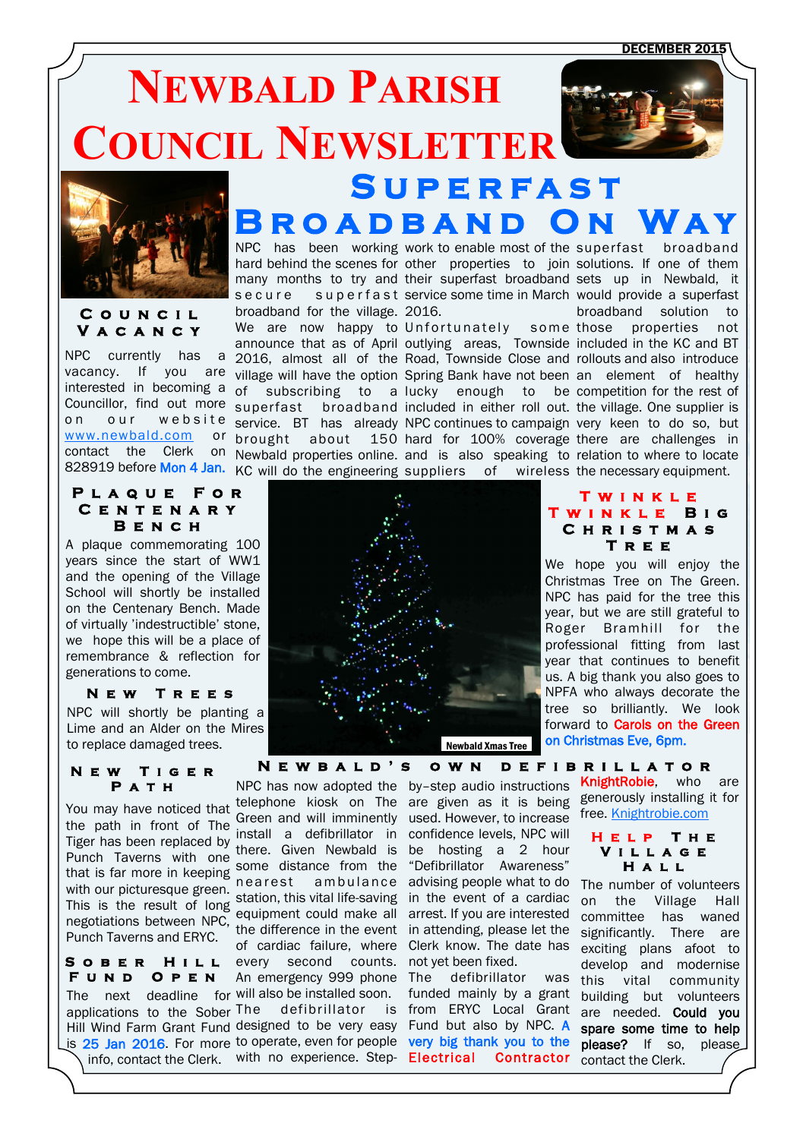DECEMBER 2015

# **NEWBALD PARISH COUNCIL NEWSLETTER S u p e r f a s t**



**C o u n c i l V a c a n c y** 

NPC currently has a on our website [www.newbald.com](http://www.newbald.com)

### **P l a q u e F o r C e n t e n a r y B e n c h**

A plaque commemorating 100 years since the start of WW1 and the opening of the Village School will shortly be installed on the Centenary Bench. Made of virtually 'indestructible' stone, we hope this will be a place of remembrance & reflection for generations to come.

#### **N e w T r e e s**

NPC will shortly be planting a Lime and an Alder on the Mires to replace damaged trees.

```
N e w T i g e r 
P a t h
```
the path in front of The Green and will infinitently Figurian been replaced by there. Given Newbald is be hosting a 2 hour<br>Punch Taverns with one some distance from the "Defibrillator Awareness" You may have noticed that Tiger has been replaced by the confidence levels, NPC will replaced by these confidence levels, NPC will that is far more in keeping some dist with our picturesque green. This is the result of long negotiations between NPC, Punch Taverns and ERYC.

**S o b e r H i l l F u n d O p e n** 

The next deadline for will also be installed soon.

NPC has been working work to enable most of the superfast broadband hard behind the scenes for other properties to join solutions. If one of them many months to try and their superfast broadband sets up in Newbald, it secure superfast service some time in March would provide a superfast broadband for the village. 2016. We are now happy to Unfortunately some those properties not announce that as of April outlying areas, Townside included in the KC and BT 2016, almost all of the Road, Townside Close and rollouts and also introduce vacancy. If you are village will have the option Spring Bank have not been an element of healthy interested in becoming a of subscribing to a lucky enough to be competition for the rest of Councillor, find out more superfast broadband included in either roll out the village. One supplier is service. BT has already NPC continues to campaign very keen to do so, but brought about 150 hard for 100% coverage there are challenges in **ROADBAND** 

828919 before Mon 4 Jan. KC will do the engineering suppliers of wireless the necessary equipment.

contact the Clerk on Newbald properties online. and is also speaking to relation to where to locate broadband solution to

> **T w i n k l e T w i n k l e B i g C h r i s t m a s T r e e**

Christmas Tree on The Green.

professional fitting from last



#### **N e w b a l d ' s o w n d e f i b r i l l a t o r**

there. Given Newbald is every second counts. not yet been fixed. An emergency 999 phone The defibrillator was

applications to the Sober The defibrillator is from ERYC Local Grant Hill Wind Farm Grant Fund designed to be very easy Fund but also by NPC. A is 25 Jan 2016. For more to operate, even for people very big thank you to the info, contact the Clerk. with no experience. Step- Electrical Contractor

NPC has now adopted the by–step audio instructions telephone kiosk on The are given as it is being generously installing it for Green and will imminently used. However, to increase nearest ambulance advising people what to do station, this vital life-saving in the event of a cardiac equipment could make all arrest. If you are interested the difference in the event in attending, please let the of cardiac failure, where Clerk know. The date has "Defibrillator Awareness"

funded mainly by a grant

us. A big thank you also goes to NPFA who always decorate the tree so brilliantly. We look forward to **Carols on the Green** on Christmas Eve, 6pm.

> KnightRobie, who are free. [Knightrobie.com](http://www.knightrobie.com)

#### **H e l p T h e V i l l a g e H a l l**

The number of volunteers on the Village Hall committee has waned significantly. There are exciting plans afoot to develop and modernise this vital community building but volunteers are needed. Could you spare some time to help please? If so, please contact the Clerk.